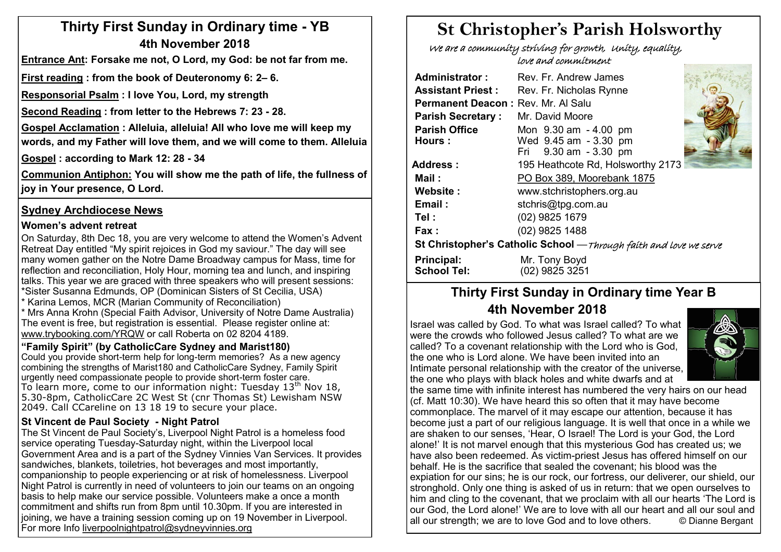# **Thirty First Sunday in Ordinary time - YB 4th November 2018**

**Entrance Ant: Forsake me not, O Lord, my God: be not far from me.** 

**First reading : from the book of Deuteronomy 6: 2– 6.** 

**Responsorial Psalm : I love You, Lord, my strength**

**Second Reading : from letter to the Hebrews 7: 23 - 28.** 

**Gospel Acclamation : Alleluia, alleluia! All who love me will keep my words, and my Father will love them, and we will come to them. Alleluia**

**Gospel : according to Mark 12: 28 - 34**

**Communion Antiphon: You will show me the path of life, the fullness of joy in Your presence, O Lord.**

## **Sydney Archdiocese News**

#### **Women's advent retreat**

On Saturday, 8th Dec 18, you are very welcome to attend the Women's Advent Retreat Day entitled "My spirit rejoices in God my saviour." The day will see many women gather on the Notre Dame Broadway campus for Mass, time for reflection and reconciliation, Holy Hour, morning tea and lunch, and inspiring talks. This year we are graced with three speakers who will present sessions: \*Sister Susanna Edmunds, OP (Dominican Sisters of St Cecilia, USA) \* Karina Lemos, MCR (Marian Community of Reconciliation) \* Mrs Anna Krohn (Special Faith Advisor, University of Notre Dame Australia) The event is free, but registration is essential. Please register online at: [www.trybooking.com/YRQW](http://www.trybooking.com/YRQW) or call Roberta on 02 8204 4189.

#### **"Family Spirit" (by CatholicCare Sydney and Marist180)**

Could you provide short-term help for long-term memories? As a new agency combining the strengths of Marist180 and CatholicCare Sydney, Family Spirit urgently need compassionate people to provide short-term foster care. To learn more, come to our information night: Tuesday  $13<sup>th</sup>$  Nov 18, 5.30-8pm, CatholicCare 2C West St (cnr Thomas St) Lewisham NSW 2049. Call CCareline on 13 18 19 to secure your place.

#### **St Vincent de Paul Society - Night Patrol**

The St Vincent de Paul Society's, Liverpool Night Patrol is a homeless food service operating Tuesday-Saturday night, within the Liverpool local Government Area and is a part of the Sydney Vinnies Van Services. It provides sandwiches, blankets, toiletries, hot beverages and most importantly, companionship to people experiencing or at risk of homelessness. Liverpool Night Patrol is currently in need of volunteers to join our teams on an ongoing basis to help make our service possible. Volunteers make a once a month commitment and shifts run from 8pm until 10.30pm. If you are interested in joining, we have a training session coming up on 19 November in Liverpool. For more Info liverpoolnightpatrol@sydneyvinnies.org

# **St Christopher's Parish Holsworthy**

 We are a community striving for growth, Unity, equality, love and commitment

| <b>Administrator:</b>                                             | Rev. Fr. Andrew James                                                   |  |  |  |  |  |  |
|-------------------------------------------------------------------|-------------------------------------------------------------------------|--|--|--|--|--|--|
| <b>Assistant Priest:</b>                                          | Rev. Fr. Nicholas Rynne                                                 |  |  |  |  |  |  |
| Permanent Deacon: Rev. Mr. Al Salu                                |                                                                         |  |  |  |  |  |  |
| <b>Parish Secretary:</b>                                          | Mr. David Moore                                                         |  |  |  |  |  |  |
| <b>Parish Office</b><br>Hours:                                    | Mon 9.30 am - 4.00 pm<br>Wed 9.45 am - 3.30 pm<br>Fri 9.30 am - 3.30 pm |  |  |  |  |  |  |
| <b>Address:</b>                                                   | 195 Heathcote Rd, Holsworthy 2173                                       |  |  |  |  |  |  |
| Mail :                                                            | PO Box 389, Moorebank 1875                                              |  |  |  |  |  |  |
| Website:                                                          | www.stchristophers.org.au                                               |  |  |  |  |  |  |
| Email:                                                            | stchris@tpg.com.au                                                      |  |  |  |  |  |  |
| Tel :                                                             | (02) 9825 1679                                                          |  |  |  |  |  |  |
| <b>Fax</b> :                                                      | (02) 9825 1488                                                          |  |  |  |  |  |  |
| St Christopher's Catholic School -Through faith and love we serve |                                                                         |  |  |  |  |  |  |
| <b>Principal:</b><br><b>School Tel:</b>                           | Mr. Tony Boyd<br>(02) 9825 3251                                         |  |  |  |  |  |  |

# **Thirty First Sunday in Ordinary time Year B 4th November 2018**

Israel was called by God. To what was Israel called? To what were the crowds who followed Jesus called? To what are we called? To a covenant relationship with the Lord who is God, the one who is Lord alone. We have been invited into an Intimate personal relationship with the creator of the universe, the one who plays with black holes and white dwarfs and at



the same time with infinite interest has numbered the very hairs on our head (cf. Matt 10:30). We have heard this so often that it may have become commonplace. The marvel of it may escape our attention, because it has become just a part of our religious language. It is well that once in a while we are shaken to our senses, 'Hear, O Israel! The Lord is your God, the Lord alone!' It is not marvel enough that this mysterious God has created us; we have also been redeemed. As victim-priest Jesus has offered himself on our behalf. He is the sacrifice that sealed the covenant; his blood was the expiation for our sins; he is our rock, our fortress, our deliverer, our shield, our stronghold. Only one thing is asked of us in return: that we open ourselves to him and cling to the covenant, that we proclaim with all our hearts 'The Lord is our God, the Lord alone!' We are to love with all our heart and all our soul and all our strength; we are to love God and to love others.  $\qquad \circ$  Dianne Bergant